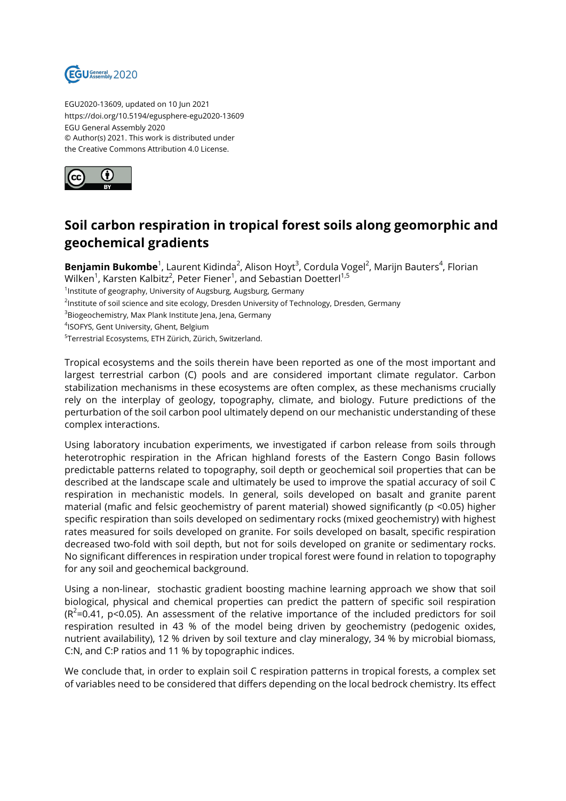

EGU2020-13609, updated on 10 Jun 2021 https://doi.org/10.5194/egusphere-egu2020-13609 EGU General Assembly 2020 © Author(s) 2021. This work is distributed under the Creative Commons Attribution 4.0 License.



## **Soil carbon respiration in tropical forest soils along geomorphic and geochemical gradients**

**Benjamin Bukombe**<sup>1</sup>, Laurent Kidinda<sup>2</sup>, Alison Hoyt<sup>3</sup>, Cordula Vogel<sup>2</sup>, Marijn Bauters<sup>4</sup>, Florian Wilken $^1$ , Karsten Kalbitz $^2$ , Peter Fiener $^1$ , and Sebastian Doetterl $^{1,5}$ <sup>1</sup>Institute of geography, University of Augsburg, Augsburg, Germany <sup>2</sup>Institute of soil science and site ecology, Dresden University of Technology, Dresden, Germany <sup>3</sup>Biogeochemistry, Max Plank Institute Jena, Jena, Germany 4 ISOFYS, Gent University, Ghent, Belgium 5 Terrestrial Ecosystems, ETH Zürich, Zürich, Switzerland.

Tropical ecosystems and the soils therein have been reported as one of the most important and largest terrestrial carbon (C) pools and are considered important climate regulator. Carbon stabilization mechanisms in these ecosystems are often complex, as these mechanisms crucially rely on the interplay of geology, topography, climate, and biology. Future predictions of the perturbation of the soil carbon pool ultimately depend on our mechanistic understanding of these complex interactions.

Using laboratory incubation experiments, we investigated if carbon release from soils through heterotrophic respiration in the African highland forests of the Eastern Congo Basin follows predictable patterns related to topography, soil depth or geochemical soil properties that can be described at the landscape scale and ultimately be used to improve the spatial accuracy of soil C respiration in mechanistic models. In general, soils developed on basalt and granite parent material (mafic and felsic geochemistry of parent material) showed significantly (p <0.05) higher specific respiration than soils developed on sedimentary rocks (mixed geochemistry) with highest rates measured for soils developed on granite. For soils developed on basalt, specific respiration decreased two-fold with soil depth, but not for soils developed on granite or sedimentary rocks. No significant differences in respiration under tropical forest were found in relation to topography for any soil and geochemical background.

Using a non-linear, stochastic gradient boosting machine learning approach we show that soil biological, physical and chemical properties can predict the pattern of specific soil respiration (R $^{2}$ =0.41, p<0.05). An assessment of the relative importance of the included predictors for soil respiration resulted in 43 % of the model being driven by geochemistry (pedogenic oxides, nutrient availability), 12 % driven by soil texture and clay mineralogy, 34 % by microbial biomass, C:N, and C:P ratios and 11 % by topographic indices.

We conclude that, in order to explain soil C respiration patterns in tropical forests, a complex set of variables need to be considered that differs depending on the local bedrock chemistry. Its effect